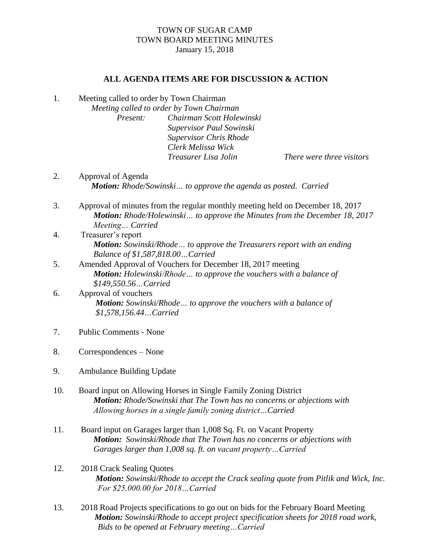## TOWN OF SUGAR CAMP TOWN BOARD MEETING MINUTES January 15, 2018

## **ALL AGENDA ITEMS ARE FOR DISCUSSION & ACTION**

1. Meeting called to order by Town Chairman

*Meeting called to order by Town Chairman Present: Chairman Scott Holewinski Supervisor Paul Sowinski Supervisor Chris Rhode Clerk Melissa Wick Treasurer Lisa Jolin There were three visitors*

- 2. Approval of Agenda *Motion: Rhode/Sowinski… to approve the agenda as posted. Carried*
- 3. Approval of minutes from the regular monthly meeting held on December 18, 2017 *Motion: Rhode/Holewinski… to approve the Minutes from the December 18, 2017 Meeting… Carried*
- 4. Treasurer's report *Motion: Sowinski/Rhode… to approve the Treasurers report with an ending Balance of \$1,587,818.00…Carried*
- 5. Amended Approval of Vouchers for December 18, 2017 meeting *Motion: Holewinski/Rhode… to approve the vouchers with a balance of \$149,550.56…Carried*
- 6. Approval of vouchers *Motion: Sowinski/Rhode… to approve the vouchers with a balance of \$1,578,156.44…Carried*
- 7. Public Comments None
- 8. Correspondences None
- 9. Ambulance Building Update
- 10. Board input on Allowing Horses in Single Family Zoning District  *Motion: Rhode/Sowinski that The Town has no concerns or abjections with Allowing horses in a single family zoning district…Carried*
- 11. Board input on Garages larger than 1,008 Sq. Ft. on Vacant Property *Motion: Sowinski/Rhode that The Town has no concerns or abjections with Garages larger than 1,008 sq. ft. on vacant property…Carried*
- 12. 2018 Crack Sealing Quotes *Motion: Sowinski/Rhode to accept the Crack sealing quote from Pitlik and Wick, Inc. For \$25,000.00 for 2018…Carried*
- 13. 2018 Road Projects specifications to go out on bids for the February Board Meeting *Motion: Sowinski/Rhode to accept project specification sheets for 2018 road work, Bids to be opened at February meeting…Carried*